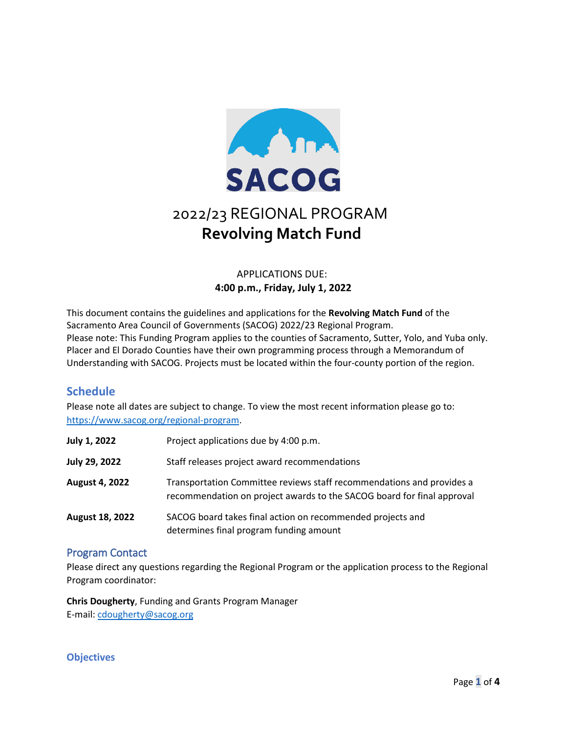

# 2022/23 REGIONAL PROGRAM **Revolving Match Fund**

# APPLICATIONS DUE: **4:00 p.m., Friday, July 1, 2022**

This document contains the guidelines and applications for the **Revolving Match Fund** of the Sacramento Area Council of Governments (SACOG) 2022/23 Regional Program. Please note: This Funding Program applies to the counties of Sacramento, Sutter, Yolo, and Yuba only. Placer and El Dorado Counties have their own programming process through a Memorandum of Understanding with SACOG. Projects must be located within the four-county portion of the region.

# **Schedule**

Please note all dates are subject to change. To view the most recent information please go to: [https://www.sacog.org/regional-program.](https://www.sacog.org/regional-program)

| <b>July 1, 2022</b>    | Project applications due by 4:00 p.m.                                                                                                           |
|------------------------|-------------------------------------------------------------------------------------------------------------------------------------------------|
| <b>July 29, 2022</b>   | Staff releases project award recommendations                                                                                                    |
| <b>August 4, 2022</b>  | Transportation Committee reviews staff recommendations and provides a<br>recommendation on project awards to the SACOG board for final approval |
| <b>August 18, 2022</b> | SACOG board takes final action on recommended projects and<br>determines final program funding amount                                           |

# Program Contact

Please direct any questions regarding the Regional Program or the application process to the Regional Program coordinator:

**Chris Dougherty**, Funding and Grants Program Manager E-mail: [cdougherty@sacog.org](mailto:cdougherty@sacog.org)

# **Objectives**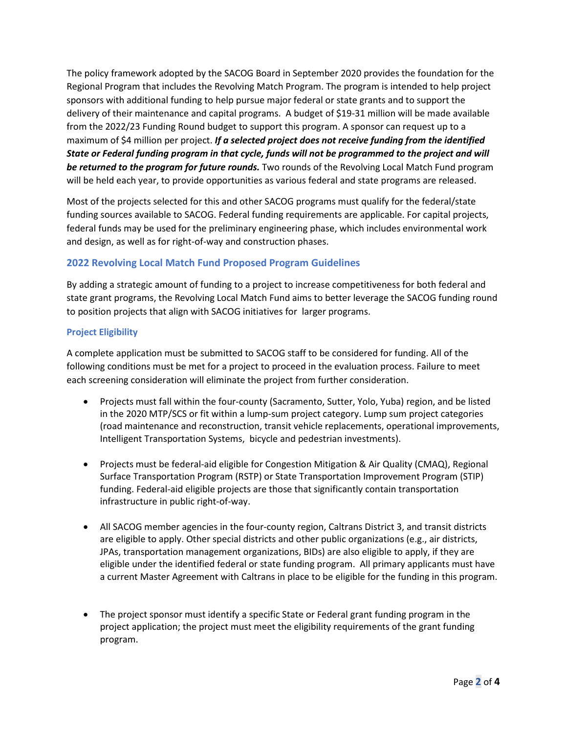The policy framework adopted by the SACOG Board in September 2020 provides the foundation for the Regional Program that includes the Revolving Match Program. The program is intended to help project sponsors with additional funding to help pursue major federal or state grants and to support the delivery of their maintenance and capital programs. A budget of \$19-31 million will be made available from the 2022/23 Funding Round budget to support this program. A sponsor can request up to a maximum of \$4 million per project. *If a selected project does not receive funding from the identified State or Federal funding program in that cycle, funds will not be programmed to the project and will be returned to the program for future rounds.* Two rounds of the Revolving Local Match Fund program will be held each year, to provide opportunities as various federal and state programs are released.

Most of the projects selected for this and other SACOG programs must qualify for the federal/state funding sources available to SACOG. Federal funding requirements are applicable. For capital projects, federal funds may be used for the preliminary engineering phase, which includes environmental work and design, as well as for right-of-way and construction phases.

## **2022 Revolving Local Match Fund Proposed Program Guidelines**

By adding a strategic amount of funding to a project to increase competitiveness for both federal and state grant programs, the Revolving Local Match Fund aims to better leverage the SACOG funding round to position projects that align with SACOG initiatives for larger programs.

## **Project Eligibility**

A complete application must be submitted to SACOG staff to be considered for funding. All of the following conditions must be met for a project to proceed in the evaluation process. Failure to meet each screening consideration will eliminate the project from further consideration.

- Projects must fall within the four-county (Sacramento, Sutter, Yolo, Yuba) region, and be listed in the 2020 MTP/SCS or fit within a lump-sum project category. Lump sum project categories (road maintenance and reconstruction, transit vehicle replacements, operational improvements, Intelligent Transportation Systems, bicycle and pedestrian investments).
- Projects must be federal-aid eligible for Congestion Mitigation & Air Quality (CMAQ), Regional Surface Transportation Program (RSTP) or State Transportation Improvement Program (STIP) funding. Federal-aid eligible projects are those that significantly contain transportation infrastructure in public right-of-way.
- All SACOG member agencies in the four-county region, Caltrans District 3, and transit districts are eligible to apply. Other special districts and other public organizations (e.g., air districts, JPAs, transportation management organizations, BIDs) are also eligible to apply, if they are eligible under the identified federal or state funding program. All primary applicants must have a current Master Agreement with Caltrans in place to be eligible for the funding in this program.
- The project sponsor must identify a specific State or Federal grant funding program in the project application; the project must meet the eligibility requirements of the grant funding program.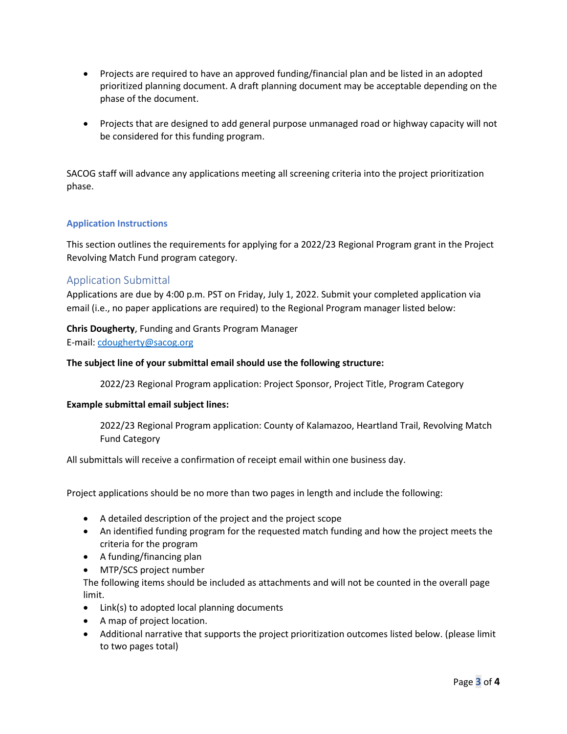- Projects are required to have an approved funding/financial plan and be listed in an adopted prioritized planning document. A draft planning document may be acceptable depending on the phase of the document.
- Projects that are designed to add general purpose unmanaged road or highway capacity will not be considered for this funding program.

SACOG staff will advance any applications meeting all screening criteria into the project prioritization phase.

## **Application Instructions**

This section outlines the requirements for applying for a 2022/23 Regional Program grant in the Project Revolving Match Fund program category.

## Application Submittal

Applications are due by 4:00 p.m. PST on Friday, July 1, 2022. Submit your completed application via email (i.e., no paper applications are required) to the Regional Program manager listed below:

### **Chris Dougherty**, Funding and Grants Program Manager

E-mail: [cdougherty@sacog.org](mailto:cdougherty@sacog.org)

### **The subject line of your submittal email should use the following structure:**

2022/23 Regional Program application: Project Sponsor, Project Title, Program Category

### **Example submittal email subject lines:**

2022/23 Regional Program application: County of Kalamazoo, Heartland Trail, Revolving Match Fund Category

All submittals will receive a confirmation of receipt email within one business day.

Project applications should be no more than two pages in length and include the following:

- A detailed description of the project and the project scope
- An identified funding program for the requested match funding and how the project meets the criteria for the program
- A funding/financing plan
- MTP/SCS project number

The following items should be included as attachments and will not be counted in the overall page limit.

- Link(s) to adopted local planning documents
- A map of project location.
- Additional narrative that supports the project prioritization outcomes listed below. (please limit to two pages total)